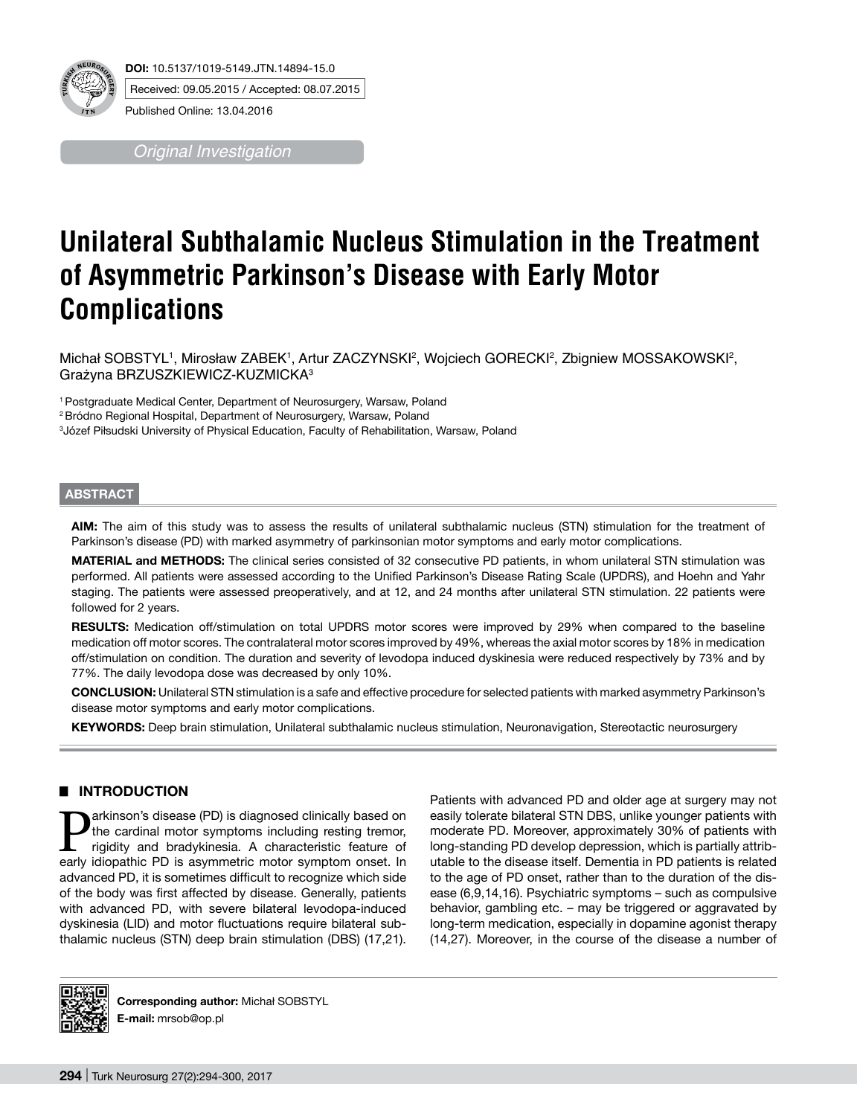

*Original Investigation*

# **Unilateral Subthalamic Nucleus Stimulation in the Treatment of Asymmetric Parkinson's Disease with Early Motor Complications**

Michał SOBSTYL', Mirosław ZABEK', Artur ZACZYNSKI<sup>2</sup>, Wojciech GORECKI<sup>2</sup>, Zbigniew MOSSAKOWSKI<sup>2</sup>, Grażyna BRZUSZKIEWICZ-KUZMICKA<sup>3</sup>

1 Postgraduate Medical Center, Department of Neurosurgery, Warsaw, Poland

<sup>2</sup> Bródno Regional Hospital, Department of Neurosurgery, Warsaw, Poland

3 Józef Piłsudski University of Physical Education, Faculty of Rehabilitation, Warsaw, Poland

### **ABSTRACT**

**AIm:** The aim of this study was to assess the results of unilateral subthalamic nucleus (STN) stimulation for the treatment of Parkinson's disease (PD) with marked asymmetry of parkinsonian motor symptoms and early motor complications.

**MaterIal and Methods:** The clinical series consisted of 32 consecutive PD patients, in whom unilateral STN stimulation was performed. All patients were assessed according to the Unified Parkinson's Disease Rating Scale (UPDRS), and Hoehn and Yahr staging. The patients were assessed preoperatively, and at 12, and 24 months after unilateral STN stimulation. 22 patients were followed for 2 years.

**Results:** Medication off/stimulation on total UPDRS motor scores were improved by 29% when compared to the baseline medication off motor scores. The contralateral motor scores improved by 49%, whereas the axial motor scores by 18% in medication off/stimulation on condition. The duration and severity of levodopa induced dyskinesia were reduced respectively by 73% and by 77%. The daily levodopa dose was decreased by only 10%.

**ConclusIon:** Unilateral STN stimulation is a safe and effective procedure for selected patients with marked asymmetry Parkinson's disease motor symptoms and early motor complications.

**Keywords:** Deep brain stimulation, Unilateral subthalamic nucleus stimulation, Neuronavigation, Stereotactic neurosurgery

# █ **INTRODUCTION**

**Parkinson's disease (PD) is diagnosed clinically based on**<br>the cardinal motor symptoms including resting tremor,<br>rigidity and bradykinesia. A characteristic feature of<br>early idionathic PD is asymmetric motor symptom onset the cardinal motor symptoms including resting tremor, rigidity and bradykinesia. A characteristic feature of early idiopathic PD is asymmetric motor symptom onset. In advanced PD, it is sometimes difficult to recognize which side of the body was first affected by disease. Generally, patients with advanced PD, with severe bilateral levodopa-induced dyskinesia (LID) and motor fluctuations require bilateral subthalamic nucleus (STN) deep brain stimulation (DBS) (17,21).

Patients with advanced PD and older age at surgery may not easily tolerate bilateral STN DBS, unlike younger patients with moderate PD. Moreover, approximately 30% of patients with long-standing PD develop depression, which is partially attributable to the disease itself. Dementia in PD patients is related to the age of PD onset, rather than to the duration of the disease (6,9,14,16). Psychiatric symptoms – such as compulsive behavior, gambling etc. – may be triggered or aggravated by long-term medication, especially in dopamine agonist therapy (14,27). Moreover, in the course of the disease a number of



**Corresponding author:** Michał SOBSTYL **E-mail:** mrsob@op.pl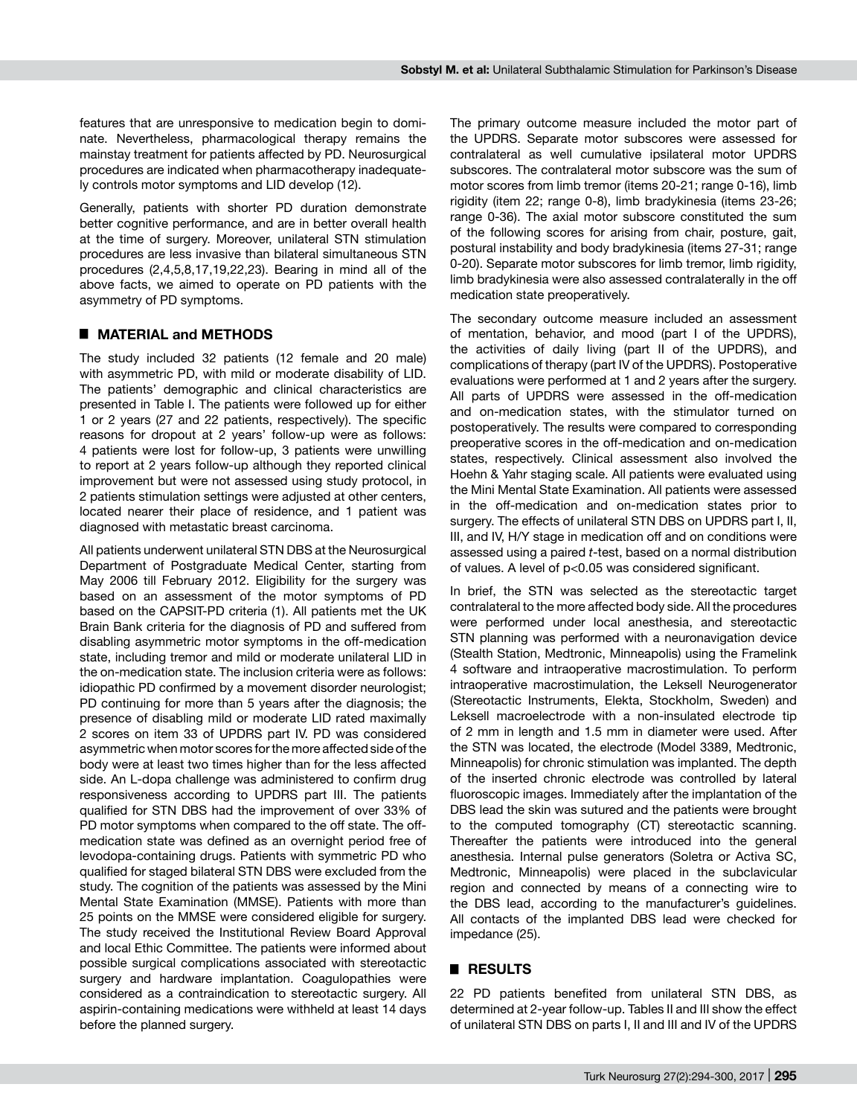features that are unresponsive to medication begin to dominate. Nevertheless, pharmacological therapy remains the mainstay treatment for patients affected by PD. Neurosurgical procedures are indicated when pharmacotherapy inadequately controls motor symptoms and LID develop (12).

Generally, patients with shorter PD duration demonstrate better cognitive performance, and are in better overall health at the time of surgery. Moreover, unilateral STN stimulation procedures are less invasive than bilateral simultaneous STN procedures (2,4,5,8,17,19,22,23). Bearing in mind all of the above facts, we aimed to operate on PD patients with the asymmetry of PD symptoms.

#### █ **MATERIAL and METHODS**

The study included 32 patients (12 female and 20 male) with asymmetric PD, with mild or moderate disability of LID. The patients' demographic and clinical characteristics are presented in Table I. The patients were followed up for either 1 or 2 years (27 and 22 patients, respectively). The specific reasons for dropout at 2 years' follow-up were as follows: 4 patients were lost for follow-up, 3 patients were unwilling to report at 2 years follow-up although they reported clinical improvement but were not assessed using study protocol, in 2 patients stimulation settings were adjusted at other centers, located nearer their place of residence, and 1 patient was diagnosed with metastatic breast carcinoma.

All patients underwent unilateral STN DBS at the Neurosurgical Department of Postgraduate Medical Center, starting from May 2006 till February 2012. Eligibility for the surgery was based on an assessment of the motor symptoms of PD based on the CAPSIT-PD criteria (1). All patients met the UK Brain Bank criteria for the diagnosis of PD and suffered from disabling asymmetric motor symptoms in the off-medication state, including tremor and mild or moderate unilateral LID in the on-medication state. The inclusion criteria were as follows: idiopathic PD confirmed by a movement disorder neurologist; PD continuing for more than 5 years after the diagnosis; the presence of disabling mild or moderate LID rated maximally 2 scores on item 33 of UPDRS part IV. PD was considered asymmetric when motor scores for the more affected side of the body were at least two times higher than for the less affected side. An L-dopa challenge was administered to confirm drug responsiveness according to UPDRS part III. The patients qualified for STN DBS had the improvement of over 33% of PD motor symptoms when compared to the off state. The offmedication state was defined as an overnight period free of levodopa-containing drugs. Patients with symmetric PD who qualified for staged bilateral STN DBS were excluded from the study. The cognition of the patients was assessed by the Mini Mental State Examination (MMSE). Patients with more than 25 points on the MMSE were considered eligible for surgery. The study received the Institutional Review Board Approval and local Ethic Committee. The patients were informed about possible surgical complications associated with stereotactic surgery and hardware implantation. Coagulopathies were considered as a contraindication to stereotactic surgery. All aspirin-containing medications were withheld at least 14 days before the planned surgery.

The primary outcome measure included the motor part of the UPDRS. Separate motor subscores were assessed for contralateral as well cumulative ipsilateral motor UPDRS subscores. The contralateral motor subscore was the sum of motor scores from limb tremor (items 20-21; range 0-16), limb rigidity (item 22; range 0-8), limb bradykinesia (items 23-26; range 0-36). The axial motor subscore constituted the sum of the following scores for arising from chair, posture, gait, postural instability and body bradykinesia (items 27-31; range 0-20). Separate motor subscores for limb tremor, limb rigidity. limb bradykinesia were also assessed contralaterally in the off medication state preoperatively.

The secondary outcome measure included an assessment of mentation, behavior, and mood (part I of the UPDRS), the activities of daily living (part II of the UPDRS), and complications of therapy (part IV of the UPDRS). Postoperative evaluations were performed at 1 and 2 years after the surgery. All parts of UPDRS were assessed in the off-medication and on-medication states, with the stimulator turned on postoperatively. The results were compared to corresponding preoperative scores in the off-medication and on-medication states, respectively. Clinical assessment also involved the Hoehn & Yahr staging scale. All patients were evaluated using the Mini Mental State Examination. All patients were assessed in the off-medication and on-medication states prior to surgery. The effects of unilateral STN DBS on UPDRS part I, II, III, and IV, H/Y stage in medication off and on conditions were assessed using a paired *t*-test, based on a normal distribution of values. A level of p<0.05 was considered significant.

In brief, the STN was selected as the stereotactic target contralateral to the more affected body side. All the procedures were performed under local anesthesia, and stereotactic STN planning was performed with a neuronavigation device (Stealth Station, Medtronic, Minneapolis) using the Framelink 4 software and intraoperative macrostimulation. To perform intraoperative macrostimulation, the Leksell Neurogenerator (Stereotactic Instruments, Elekta, Stockholm, Sweden) and Leksell macroelectrode with a non-insulated electrode tip of 2 mm in length and 1.5 mm in diameter were used. After the STN was located, the electrode (Model 3389, Medtronic, Minneapolis) for chronic stimulation was implanted. The depth of the inserted chronic electrode was controlled by lateral fluoroscopic images. Immediately after the implantation of the DBS lead the skin was sutured and the patients were brought to the computed tomography (CT) stereotactic scanning. Thereafter the patients were introduced into the general anesthesia. Internal pulse generators (Soletra or Activa SC, Medtronic, Minneapolis) were placed in the subclavicular region and connected by means of a connecting wire to the DBS lead, according to the manufacturer's guidelines. All contacts of the implanted DBS lead were checked for impedance (25).

#### █ **RESULTS**

22 PD patients benefited from unilateral STN DBS, as determined at 2-year follow-up. Tables II and III show the effect of unilateral STN DBS on parts I, II and III and IV of the UPDRS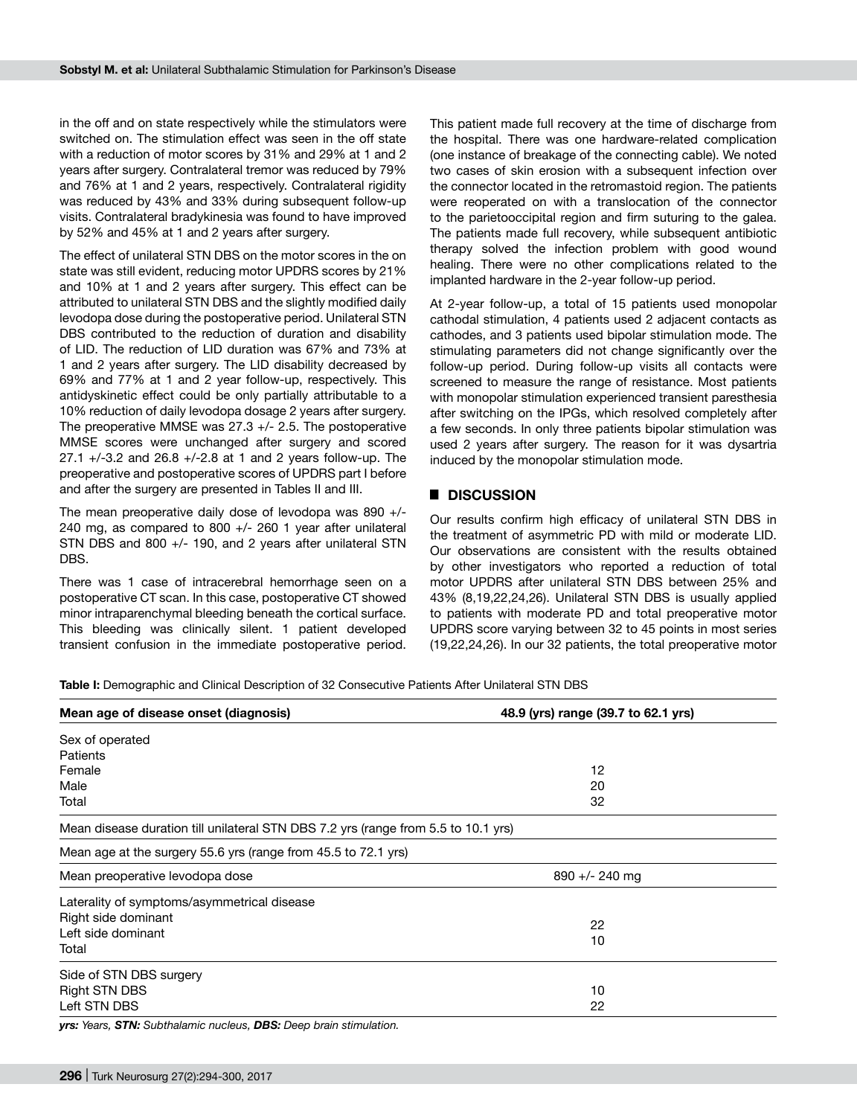in the off and on state respectively while the stimulators were switched on. The stimulation effect was seen in the off state with a reduction of motor scores by 31% and 29% at 1 and 2 years after surgery. Contralateral tremor was reduced by 79% and 76% at 1 and 2 years, respectively. Contralateral rigidity was reduced by 43% and 33% during subsequent follow-up visits. Contralateral bradykinesia was found to have improved by 52% and 45% at 1 and 2 years after surgery.

The effect of unilateral STN DBS on the motor scores in the on state was still evident, reducing motor UPDRS scores by 21% and 10% at 1 and 2 years after surgery. This effect can be attributed to unilateral STN DBS and the slightly modified daily levodopa dose during the postoperative period. Unilateral STN DBS contributed to the reduction of duration and disability of LID. The reduction of LID duration was 67% and 73% at 1 and 2 years after surgery. The LID disability decreased by 69% and 77% at 1 and 2 year follow-up, respectively. This antidyskinetic effect could be only partially attributable to a 10% reduction of daily levodopa dosage 2 years after surgery. The preoperative MMSE was 27.3 +/- 2.5. The postoperative MMSE scores were unchanged after surgery and scored 27.1 +/-3.2 and 26.8 +/-2.8 at 1 and 2 years follow-up. The preoperative and postoperative scores of UPDRS part I before and after the surgery are presented in Tables II and III.

The mean preoperative daily dose of levodopa was 890 +/- 240 mg, as compared to 800 +/- 260 1 year after unilateral STN DBS and 800 +/- 190, and 2 years after unilateral STN DBS.

There was 1 case of intracerebral hemorrhage seen on a postoperative CT scan. In this case, postoperative CT showed minor intraparenchymal bleeding beneath the cortical surface. This bleeding was clinically silent. 1 patient developed transient confusion in the immediate postoperative period.

This patient made full recovery at the time of discharge from the hospital. There was one hardware-related complication (one instance of breakage of the connecting cable). We noted two cases of skin erosion with a subsequent infection over the connector located in the retromastoid region. The patients were reoperated on with a translocation of the connector to the parietooccipital region and firm suturing to the galea. The patients made full recovery, while subsequent antibiotic therapy solved the infection problem with good wound healing. There were no other complications related to the implanted hardware in the 2-year follow-up period.

At 2-year follow-up, a total of 15 patients used monopolar cathodal stimulation, 4 patients used 2 adjacent contacts as cathodes, and 3 patients used bipolar stimulation mode. The stimulating parameters did not change significantly over the follow-up period. During follow-up visits all contacts were screened to measure the range of resistance. Most patients with monopolar stimulation experienced transient paresthesia after switching on the IPGs, which resolved completely after a few seconds. In only three patients bipolar stimulation was used 2 years after surgery. The reason for it was dysartria induced by the monopolar stimulation mode.

## █ **DISCUSSION**

Our results confirm high efficacy of unilateral STN DBS in the treatment of asymmetric PD with mild or moderate LID. Our observations are consistent with the results obtained by other investigators who reported a reduction of total motor UPDRS after unilateral STN DBS between 25% and 43% (8,19,22,24,26). Unilateral STN DBS is usually applied to patients with moderate PD and total preoperative motor UPDRS score varying between 32 to 45 points in most series (19,22,24,26). In our 32 patients, the total preoperative motor

**Table I:** Demographic and Clinical Description of 32 Consecutive Patients After Unilateral STN DBS

| Mean age of disease onset (diagnosis)                                              | 48.9 (yrs) range (39.7 to 62.1 yrs) |  |  |
|------------------------------------------------------------------------------------|-------------------------------------|--|--|
| Sex of operated                                                                    |                                     |  |  |
| Patients                                                                           |                                     |  |  |
| Female                                                                             | 12                                  |  |  |
| Male                                                                               | 20                                  |  |  |
| Total                                                                              | 32                                  |  |  |
| Mean disease duration till unilateral STN DBS 7.2 yrs (range from 5.5 to 10.1 yrs) |                                     |  |  |
| Mean age at the surgery 55.6 yrs (range from 45.5 to 72.1 yrs)                     |                                     |  |  |
| Mean preoperative levodopa dose                                                    | $890 +/- 240$ mg                    |  |  |
| Laterality of symptoms/asymmetrical disease                                        |                                     |  |  |
| Right side dominant                                                                |                                     |  |  |
| Left side dominant                                                                 | 22                                  |  |  |
| Total                                                                              | 10                                  |  |  |
| Side of STN DBS surgery                                                            |                                     |  |  |
| <b>Right STN DBS</b>                                                               | 10                                  |  |  |
| Left STN DBS                                                                       | 22                                  |  |  |

*yrs: Years, STN: Subthalamic nucleus, DBS: Deep brain stimulation.*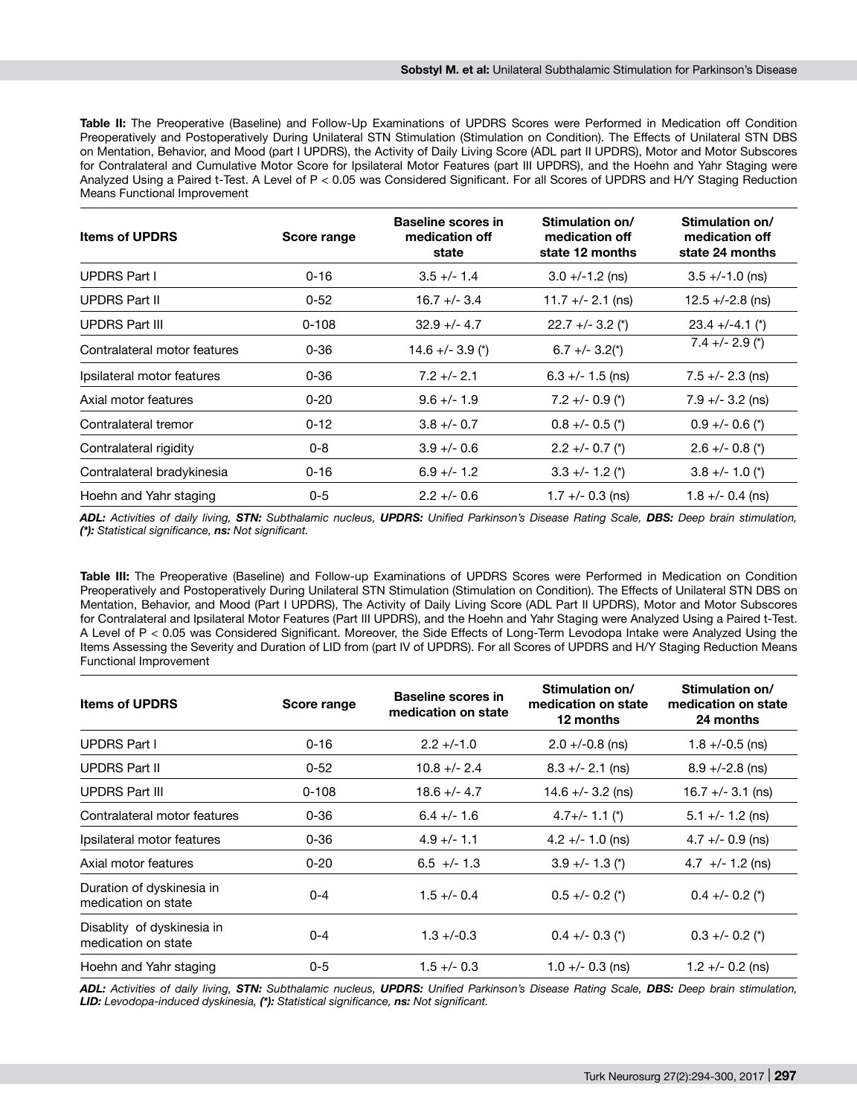**Table II:** The Preoperative (Baseline) and Follow-Up Examinations of UPDRS Scores were Performed in Medication off Condition Preoperatively and Postoperatively During Unilateral STN Stimulation (Stimulation on Condition). The Effects of Unilateral STN DBS on Mentation, Behavior, and Mood (part I UPDRS), the Activity of Daily Living Score (ADL part II UPDRS), Motor and Motor Subscores for Contralateral and Cumulative Motor Score for Ipsilateral Motor Features (part III UPDRS), and the Hoehn and Yahr Staging were Analyzed Using a Paired t-Test. A Level of P < 0.05 was Considered Significant. For all Scores of UPDRS and H/Y Staging Reduction Means Functional Improvement

| <b>Items of UPDRS</b>        | Score range | <b>Baseline scores in</b><br>medication off<br>state | Stimulation on/<br>medication off<br>state 12 months | Stimulation on/<br>medication off<br>state 24 months |
|------------------------------|-------------|------------------------------------------------------|------------------------------------------------------|------------------------------------------------------|
| <b>UPDRS Part I</b>          | $0 - 16$    | $3.5 +/- 1.4$                                        | $3.0 + (-1.2$ (ns)                                   | $3.5 + (-1.0$ (ns)                                   |
| <b>UPDRS Part II</b>         | $0 - 52$    | $16.7 +/- 3.4$                                       | $11.7 +/- 2.1$ (ns)                                  | $12.5 + (-2.8$ (ns)                                  |
| <b>UPDRS Part III</b>        | $0 - 108$   | $32.9 + - 4.7$                                       | $22.7 +/- 3.2$ (*)                                   | $23.4 + (-4.1 (*)$                                   |
| Contralateral motor features | $0 - 36$    | $14.6 + (-3.9 (*)$                                   | $6.7 +/- 3.2(*)$                                     | $7.4 +/- 2.9 (*)$                                    |
| Ipsilateral motor features   | $0 - 36$    | $7.2 +/- 2.1$                                        | $6.3 +/- 1.5$ (ns)                                   | $7.5 +/- 2.3$ (ns)                                   |
| Axial motor features         | $0 - 20$    | $9.6 +/- 1.9$                                        | $7.2 +/- 0.9$ (*)                                    | $7.9 +/- 3.2$ (ns)                                   |
| Contralateral tremor         | $0 - 12$    | $3.8 +/- 0.7$                                        | $0.8 +/- 0.5$ (*)                                    | $0.9 +/- 0.6 (*)$                                    |
| Contralateral rigidity       | $0 - 8$     | $3.9 + - 0.6$                                        | $2.2 +/- 0.7$ (*)                                    | $2.6 +/- 0.8 (*)$                                    |
| Contralateral bradykinesia   | $0 - 16$    | $6.9 +/- 1.2$                                        | $3.3 + (-1.2)^{(*)}$                                 | $3.8 + (-1.0 (*)$                                    |
| Hoehn and Yahr staging       | $0 - 5$     | $2.2 +/- 0.6$                                        | 1.7 +/- 0.3 (ns)                                     | 1.8 +/- 0.4 (ns)                                     |

*ADL: Activities of daily living, STN: Subthalamic nucleus, UPDRS: Unified Parkinson's Disease Rating Scale, DBS: Deep brain stimulation, (\*): Statistical significance, ns: Not significant.*

**Table III:** The Preoperative (Baseline) and Follow-up Examinations of UPDRS Scores were Performed in Medication on Condition Preoperatively and Postoperatively During Unilateral STN Stimulation (Stimulation on Condition). The Effects of Unilateral STN DBS on Mentation, Behavior, and Mood (Part I UPDRS), The Activity of Daily Living Score (ADL Part II UPDRS), Motor and Motor Subscores for Contralateral and Ipsilateral Motor Features (Part III UPDRS), and the Hoehn and Yahr Staging were Analyzed Using a Paired t-Test. A Level of P < 0.05 was Considered Significant. Moreover, the Side Effects of Long-Term Levodopa Intake were Analyzed Using the Items Assessing the Severity and Duration of LID from (part IV of UPDRS). For all Scores of UPDRS and H/Y Staging Reduction Means Functional Improvement

| <b>Items of UPDRS</b>                             | Score range | <b>Baseline scores in</b><br>medication on state | Stimulation on/<br>medication on state<br>12 months | Stimulation on/<br>medication on state<br>24 months |
|---------------------------------------------------|-------------|--------------------------------------------------|-----------------------------------------------------|-----------------------------------------------------|
| <b>UPDRS Part I</b>                               | $0 - 16$    | $2.2 + (-1.0)$                                   | $2.0 + (-0.8$ (ns)                                  | $1.8 + (-0.5$ (ns)                                  |
| <b>UPDRS Part II</b>                              | $0 - 52$    | $10.8 +/- 2.4$                                   | $8.3 +/- 2.1$ (ns)                                  | $8.9 + (-2.8$ (ns)                                  |
| <b>UPDRS Part III</b>                             | $0 - 108$   | $18.6 + - 4.7$                                   | $14.6 + - 3.2$ (ns)                                 | $16.7 +/- 3.1$ (ns)                                 |
| Contralateral motor features                      | $0 - 36$    | $6.4 +/- 1.6$                                    | $4.7+/- 1.1$ (*)                                    | $5.1 +/- 1.2$ (ns)                                  |
| Ipsilateral motor features                        | $0 - 36$    | $4.9 +/- 1.1$                                    | $4.2 +/- 1.0$ (ns)                                  | $4.7 +/- 0.9$ (ns)                                  |
| Axial motor features                              | $0 - 20$    | $6.5 +/- 1.3$                                    | $3.9 +/- 1.3$ (*)                                   | $4.7$ +/- 1.2 (ns)                                  |
| Duration of dyskinesia in<br>medication on state  | $0 - 4$     | $1.5 +/- 0.4$                                    | $0.5 +/- 0.2$ (*)                                   | $0.4 +/- 0.2$ (*)                                   |
| Disablity of dyskinesia in<br>medication on state | $0 - 4$     | $1.3 + (-0.3)$                                   | $0.4 +/- 0.3$ (*)                                   | $0.3 +/- 0.2$ (*)                                   |
| Hoehn and Yahr staging                            | $0 - 5$     | $1.5 +/- 0.3$                                    | $1.0 +/- 0.3$ (ns)                                  | $1.2 +/- 0.2$ (ns)                                  |

*ADL: Activities of daily living, STN: Subthalamic nucleus, UPDRS: Unified Parkinson's Disease Rating Scale, DBS: Deep brain stimulation, LID: Levodopa-induced dyskinesia, (\*): Statistical significance, ns: Not significant.*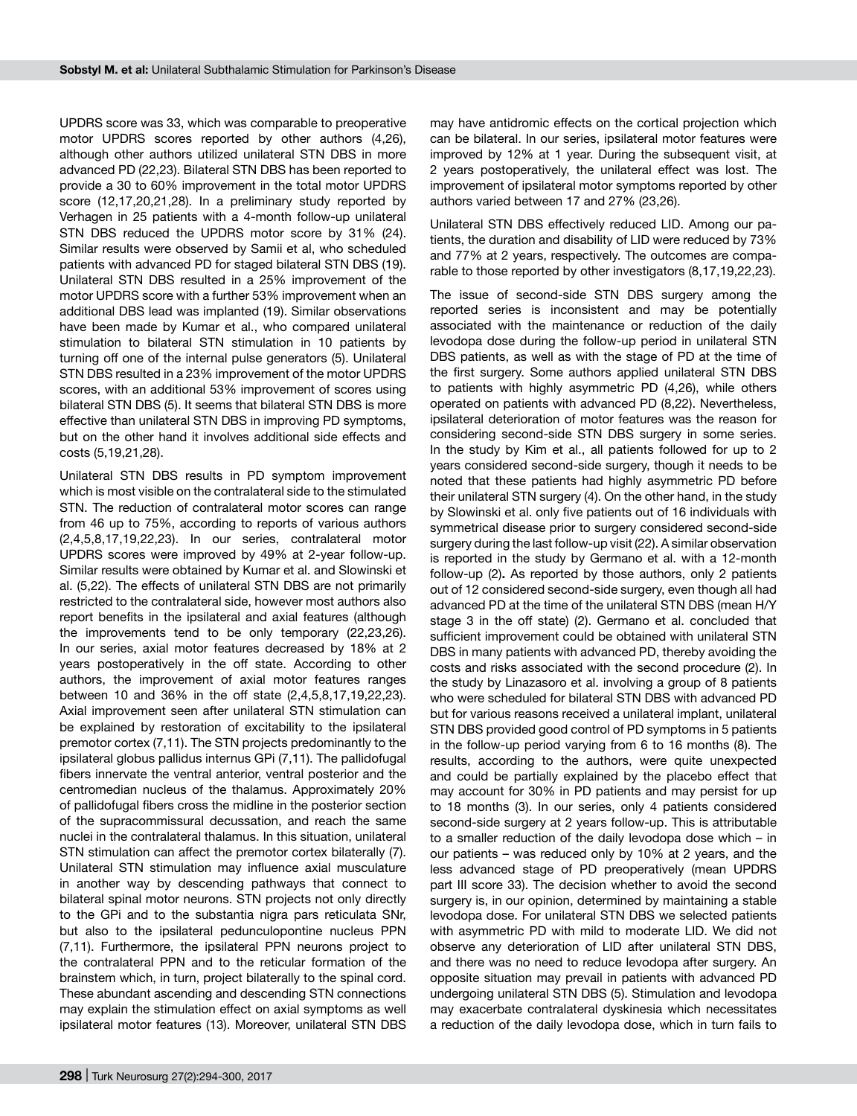UPDRS score was 33, which was comparable to preoperative motor UPDRS scores reported by other authors (4,26), although other authors utilized unilateral STN DBS in more advanced PD (22,23). Bilateral STN DBS has been reported to provide a 30 to 60% improvement in the total motor UPDRS score (12,17,20,21,28). In a preliminary study reported by Verhagen in 25 patients with a 4-month follow-up unilateral STN DBS reduced the UPDRS motor score by 31% (24). Similar results were observed by Samii et al, who scheduled patients with advanced PD for staged bilateral STN DBS (19). Unilateral STN DBS resulted in a 25% improvement of the motor UPDRS score with a further 53% improvement when an additional DBS lead was implanted (19). Similar observations have been made by Kumar et al., who compared unilateral stimulation to bilateral STN stimulation in 10 patients by turning off one of the internal pulse generators (5). Unilateral STN DBS resulted in a 23% improvement of the motor UPDRS scores, with an additional 53% improvement of scores using bilateral STN DBS (5). It seems that bilateral STN DBS is more effective than unilateral STN DBS in improving PD symptoms, but on the other hand it involves additional side effects and costs (5,19,21,28).

Unilateral STN DBS results in PD symptom improvement which is most visible on the contralateral side to the stimulated STN. The reduction of contralateral motor scores can range from 46 up to 75%, according to reports of various authors (2,4,5,8,17,19,22,23). In our series, contralateral motor UPDRS scores were improved by 49% at 2-year follow-up. Similar results were obtained by Kumar et al. and Slowinski et al. (5,22). The effects of unilateral STN DBS are not primarily restricted to the contralateral side, however most authors also report benefits in the ipsilateral and axial features (although the improvements tend to be only temporary (22,23,26). In our series, axial motor features decreased by 18% at 2 years postoperatively in the off state. According to other authors, the improvement of axial motor features ranges between 10 and 36% in the off state (2,4,5,8,17,19,22,23). Axial improvement seen after unilateral STN stimulation can be explained by restoration of excitability to the ipsilateral premotor cortex (7,11). The STN projects predominantly to the ipsilateral globus pallidus internus GPi (7,11). The pallidofugal fibers innervate the ventral anterior, ventral posterior and the centromedian nucleus of the thalamus. Approximately 20% of pallidofugal fibers cross the midline in the posterior section of the supracommissural decussation, and reach the same nuclei in the contralateral thalamus. In this situation, unilateral STN stimulation can affect the premotor cortex bilaterally (7). Unilateral STN stimulation may influence axial musculature in another way by descending pathways that connect to bilateral spinal motor neurons. STN projects not only directly to the GPi and to the substantia nigra pars reticulata SNr, but also to the ipsilateral pedunculopontine nucleus PPN (7,11). Furthermore, the ipsilateral PPN neurons project to the contralateral PPN and to the reticular formation of the brainstem which, in turn, project bilaterally to the spinal cord. These abundant ascending and descending STN connections may explain the stimulation effect on axial symptoms as well ipsilateral motor features (13). Moreover, unilateral STN DBS

may have antidromic effects on the cortical projection which can be bilateral. In our series, ipsilateral motor features were improved by 12% at 1 year. During the subsequent visit, at 2 years postoperatively, the unilateral effect was lost. The improvement of ipsilateral motor symptoms reported by other authors varied between 17 and 27% (23,26).

Unilateral STN DBS effectively reduced LID. Among our patients, the duration and disability of LID were reduced by 73% and 77% at 2 years, respectively. The outcomes are comparable to those reported by other investigators (8,17,19,22,23).

The issue of second-side STN DBS surgery among the reported series is inconsistent and may be potentially associated with the maintenance or reduction of the daily levodopa dose during the follow-up period in unilateral STN DBS patients, as well as with the stage of PD at the time of the first surgery. Some authors applied unilateral STN DBS to patients with highly asymmetric PD (4,26), while others operated on patients with advanced PD (8,22). Nevertheless, ipsilateral deterioration of motor features was the reason for considering second-side STN DBS surgery in some series. In the study by Kim et al., all patients followed for up to 2 years considered second-side surgery, though it needs to be noted that these patients had highly asymmetric PD before their unilateral STN surgery (4). On the other hand, in the study by Slowinski et al. only five patients out of 16 individuals with symmetrical disease prior to surgery considered second-side surgery during the last follow-up visit (22). A similar observation is reported in the study by Germano et al. with a 12-month follow-up (2)**.** As reported by those authors, only 2 patients out of 12 considered second-side surgery, even though all had advanced PD at the time of the unilateral STN DBS (mean H/Y stage 3 in the off state) (2). Germano et al. concluded that sufficient improvement could be obtained with unilateral STN DBS in many patients with advanced PD, thereby avoiding the costs and risks associated with the second procedure (2). In the study by Linazasoro et al. involving a group of 8 patients who were scheduled for bilateral STN DBS with advanced PD but for various reasons received a unilateral implant, unilateral STN DBS provided good control of PD symptoms in 5 patients in the follow-up period varying from 6 to 16 months (8). The results, according to the authors, were quite unexpected and could be partially explained by the placebo effect that may account for 30% in PD patients and may persist for up to 18 months (3). In our series, only 4 patients considered second-side surgery at 2 years follow-up. This is attributable to a smaller reduction of the daily levodopa dose which – in our patients – was reduced only by 10% at 2 years, and the less advanced stage of PD preoperatively (mean UPDRS part III score 33). The decision whether to avoid the second surgery is, in our opinion, determined by maintaining a stable levodopa dose. For unilateral STN DBS we selected patients with asymmetric PD with mild to moderate LID. We did not observe any deterioration of LID after unilateral STN DBS, and there was no need to reduce levodopa after surgery. An opposite situation may prevail in patients with advanced PD undergoing unilateral STN DBS (5). Stimulation and levodopa may exacerbate contralateral dyskinesia which necessitates a reduction of the daily levodopa dose, which in turn fails to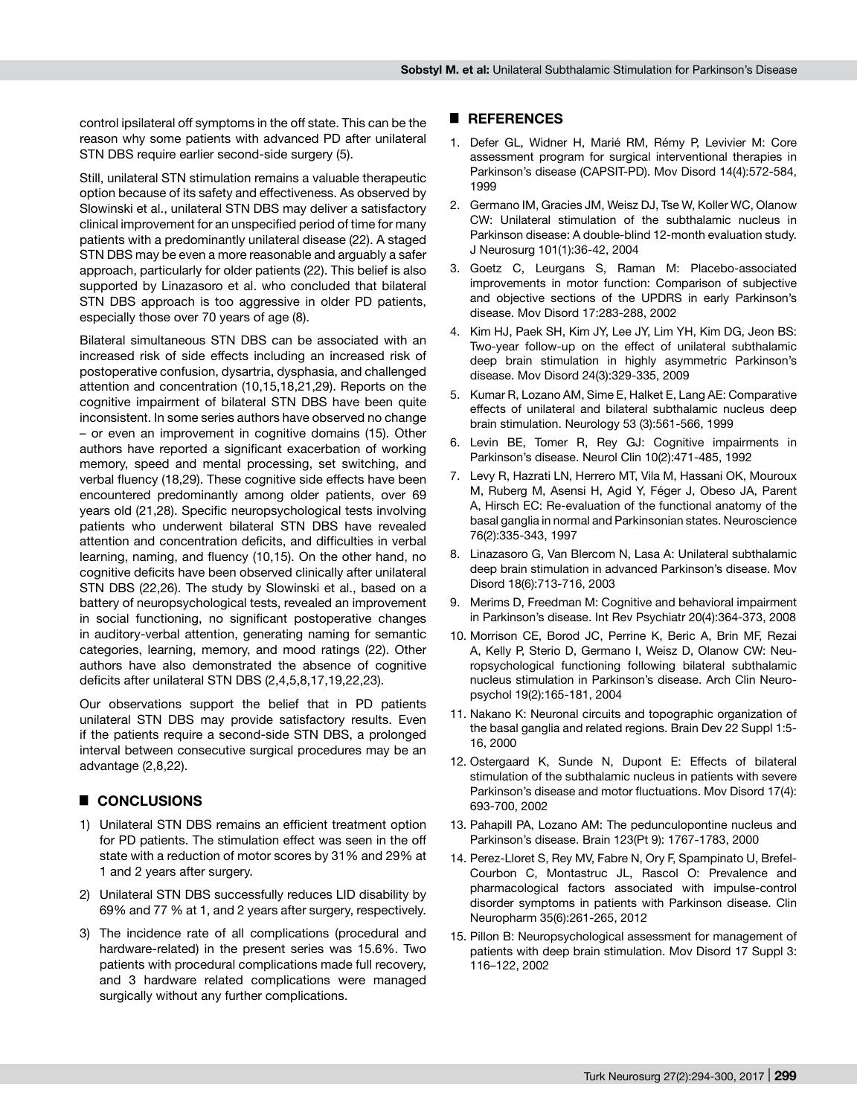control ipsilateral off symptoms in the off state. This can be the reason why some patients with advanced PD after unilateral STN DBS require earlier second-side surgery (5).

Still, unilateral STN stimulation remains a valuable therapeutic option because of its safety and effectiveness. As observed by Slowinski et al., unilateral STN DBS may deliver a satisfactory clinical improvement for an unspecified period of time for many patients with a predominantly unilateral disease (22). A staged STN DBS may be even a more reasonable and arguably a safer approach, particularly for older patients (22). This belief is also supported by Linazasoro et al. who concluded that bilateral STN DBS approach is too aggressive in older PD patients, especially those over 70 years of age (8).

Bilateral simultaneous STN DBS can be associated with an increased risk of side effects including an increased risk of postoperative confusion, dysartria, dysphasia, and challenged attention and concentration (10,15,18,21,29). Reports on the cognitive impairment of bilateral STN DBS have been quite inconsistent. In some series authors have observed no change – or even an improvement in cognitive domains (15). Other authors have reported a significant exacerbation of working memory, speed and mental processing, set switching, and verbal fluency (18,29). These cognitive side effects have been encountered predominantly among older patients, over 69 years old (21,28). Specific neuropsychological tests involving patients who underwent bilateral STN DBS have revealed attention and concentration deficits, and difficulties in verbal learning, naming, and fluency (10,15). On the other hand, no cognitive deficits have been observed clinically after unilateral STN DBS (22,26). The study by Slowinski et al., based on a battery of neuropsychological tests, revealed an improvement in social functioning, no significant postoperative changes in auditory-verbal attention, generating naming for semantic categories, learning, memory, and mood ratings (22). Other authors have also demonstrated the absence of cognitive deficits after unilateral STN DBS (2,4,5,8,17,19,22,23).

Our observations support the belief that in PD patients unilateral STN DBS may provide satisfactory results. Even if the patients require a second-side STN DBS, a prolonged interval between consecutive surgical procedures may be an advantage (2,8,22).

## █ **CONCLUSIONS**

- 1) Unilateral STN DBS remains an efficient treatment option for PD patients. The stimulation effect was seen in the off state with a reduction of motor scores by 31% and 29% at 1 and 2 years after surgery.
- 2) Unilateral STN DBS successfully reduces LID disability by 69% and 77 % at 1, and 2 years after surgery, respectively.
- 3) The incidence rate of all complications (procedural and hardware-related) in the present series was 15.6%. Two patients with procedural complications made full recovery, and 3 hardware related complications were managed surgically without any further complications.

## █ **REFERENCES**

- 1. Defer GL, Widner H, Marié RM, Rémy P, Levivier M: Core assessment program for surgical interventional therapies in Parkinson's disease (CAPSIT-PD). Mov Disord 14(4):572-584, 1999
- 2. Germano IM, Gracies JM, Weisz DJ, Tse W, Koller WC, Olanow CW: Unilateral stimulation of the subthalamic nucleus in Parkinson disease: A double-blind 12-month evaluation study. J Neurosurg 101(1):36-42, 2004
- 3. Goetz C, Leurgans S, Raman M: Placebo-associated improvements in motor function: Comparison of subjective and objective sections of the UPDRS in early Parkinson's disease. Mov Disord 17:283-288, 2002
- 4. Kim HJ, Paek SH, Kim JY, Lee JY, Lim YH, Kim DG, Jeon BS: Two-year follow-up on the effect of unilateral subthalamic deep brain stimulation in highly asymmetric Parkinson's disease. Mov Disord 24(3):329-335, 2009
- 5. Kumar R, Lozano AM, Sime E, Halket E, Lang AE: Comparative effects of unilateral and bilateral subthalamic nucleus deep brain stimulation. Neurology 53 (3):561-566, 1999
- 6. Levin BE, Tomer R, Rey GJ: Cognitive impairments in Parkinson's disease. Neurol Clin 10(2):471-485, 1992
- 7. Levy R, Hazrati LN, Herrero MT, Vila M, Hassani OK, Mouroux M, Ruberg M, Asensi H, Agid Y, Féger J, Obeso JA, Parent A, Hirsch EC: Re-evaluation of the functional anatomy of the basal ganglia in normal and Parkinsonian states. Neuroscience 76(2):335-343, 1997
- 8. Linazasoro G, Van Blercom N, Lasa A: Unilateral subthalamic deep brain stimulation in advanced Parkinson's disease. Mov Disord 18(6):713-716, 2003
- 9. Merims D, Freedman M: Cognitive and behavioral impairment in Parkinson's disease. Int Rev Psychiatr 20(4):364-373, 2008
- 10. Morrison CE, Borod JC, Perrine K, Beric A, Brin MF, Rezai A, Kelly P, Sterio D, Germano I, Weisz D, Olanow CW: Neuropsychological functioning following bilateral subthalamic nucleus stimulation in Parkinson's disease. Arch Clin Neuropsychol 19(2):165-181, 2004
- 11. Nakano K: Neuronal circuits and topographic organization of the basal ganglia and related regions. Brain Dev 22 Suppl 1:5- 16, 2000
- 12. Ostergaard K, Sunde N, Dupont E: Effects of bilateral stimulation of the subthalamic nucleus in patients with severe Parkinson's disease and motor fluctuations. Mov Disord 17(4): 693-700, 2002
- 13. Pahapill PA, Lozano AM: The pedunculopontine nucleus and Parkinson's disease. Brain 123(Pt 9): 1767-1783, 2000
- 14. Perez-Lloret S, Rey MV, Fabre N, Ory F, Spampinato U, Brefel-Courbon C, Montastruc JL, Rascol O: Prevalence and pharmacological factors associated with impulse-control disorder symptoms in patients with Parkinson disease. Clin Neuropharm 35(6):261-265, 2012
- 15. Pillon B: Neuropsychological assessment for management of patients with deep brain stimulation. Mov Disord 17 Suppl 3: 116–122, 2002